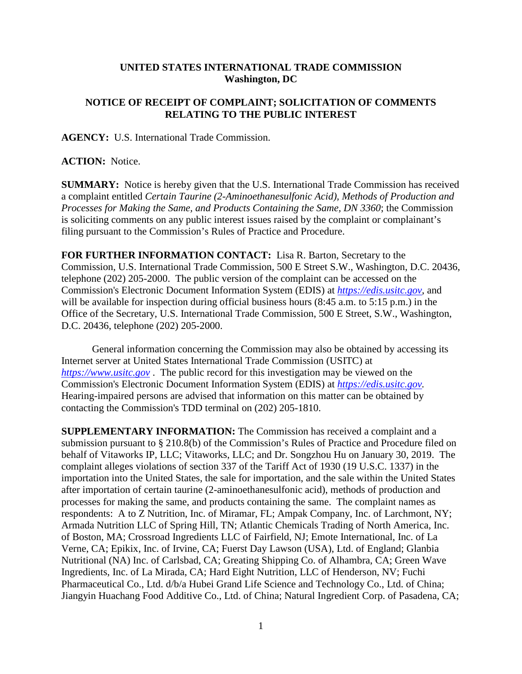## **UNITED STATES INTERNATIONAL TRADE COMMISSION Washington, DC**

## **NOTICE OF RECEIPT OF COMPLAINT; SOLICITATION OF COMMENTS RELATING TO THE PUBLIC INTEREST**

**AGENCY:** U.S. International Trade Commission.

## **ACTION:** Notice.

**SUMMARY:** Notice is hereby given that the U.S. International Trade Commission has received a complaint entitled *Certain Taurine (2-Aminoethanesulfonic Acid), Methods of Production and Processes for Making the Same, and Products Containing the Same, DN 3360*; the Commission is soliciting comments on any public interest issues raised by the complaint or complainant's filing pursuant to the Commission's Rules of Practice and Procedure.

**FOR FURTHER INFORMATION CONTACT:** Lisa R. Barton, Secretary to the Commission, U.S. International Trade Commission, 500 E Street S.W., Washington, D.C. 20436, telephone (202) 205-2000. The public version of the complaint can be accessed on the Commission's Electronic Document Information System (EDIS) at *[https://edis.usitc.gov](https://edis.usitc.gov/)*, and will be available for inspection during official business hours (8:45 a.m. to 5:15 p.m.) in the Office of the Secretary, U.S. International Trade Commission, 500 E Street, S.W., Washington, D.C. 20436, telephone (202) 205-2000.

General information concerning the Commission may also be obtained by accessing its Internet server at United States International Trade Commission (USITC) at *[https://www.usitc.gov](https://www.usitc.gov/)* . The public record for this investigation may be viewed on the Commission's Electronic Document Information System (EDIS) at *[https://edis.usitc.gov.](https://edis.usitc.gov/)* Hearing-impaired persons are advised that information on this matter can be obtained by contacting the Commission's TDD terminal on (202) 205-1810.

**SUPPLEMENTARY INFORMATION:** The Commission has received a complaint and a submission pursuant to § 210.8(b) of the Commission's Rules of Practice and Procedure filed on behalf of Vitaworks IP, LLC; Vitaworks, LLC; and Dr. Songzhou Hu on January 30, 2019. The complaint alleges violations of section 337 of the Tariff Act of 1930 (19 U.S.C. 1337) in the importation into the United States, the sale for importation, and the sale within the United States after importation of certain taurine (2-aminoethanesulfonic acid), methods of production and processes for making the same, and products containing the same. The complaint names as respondents: A to Z Nutrition, Inc. of Miramar, FL; Ampak Company, Inc. of Larchmont, NY; Armada Nutrition LLC of Spring Hill, TN; Atlantic Chemicals Trading of North America, Inc. of Boston, MA; Crossroad Ingredients LLC of Fairfield, NJ; Emote International, Inc. of La Verne, CA; Epikix, Inc. of Irvine, CA; Fuerst Day Lawson (USA), Ltd. of England; Glanbia Nutritional (NA) Inc. of Carlsbad, CA; Greating Shipping Co. of Alhambra, CA; Green Wave Ingredients, Inc. of La Mirada, CA; Hard Eight Nutrition, LLC of Henderson, NV; Fuchi Pharmaceutical Co., Ltd. d/b/a Hubei Grand Life Science and Technology Co., Ltd. of China; Jiangyin Huachang Food Additive Co., Ltd. of China; Natural Ingredient Corp. of Pasadena, CA;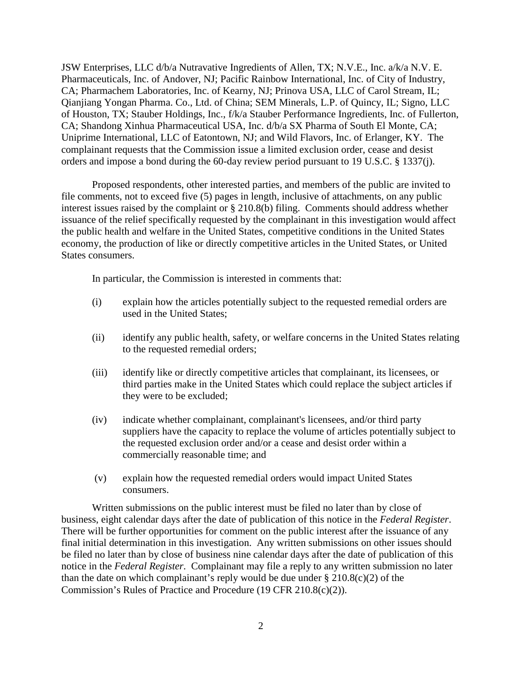JSW Enterprises, LLC d/b/a Nutravative Ingredients of Allen, TX; N.V.E., Inc. a/k/a N.V. E. Pharmaceuticals, Inc. of Andover, NJ; Pacific Rainbow International, Inc. of City of Industry, CA; Pharmachem Laboratories, Inc. of Kearny, NJ; Prinova USA, LLC of Carol Stream, IL; Qianjiang Yongan Pharma. Co., Ltd. of China; SEM Minerals, L.P. of Quincy, IL; Signo, LLC of Houston, TX; Stauber Holdings, Inc., f/k/a Stauber Performance Ingredients, Inc. of Fullerton, CA; Shandong Xinhua Pharmaceutical USA, Inc. d/b/a SX Pharma of South El Monte, CA; Uniprime International, LLC of Eatontown, NJ; and Wild Flavors, Inc. of Erlanger, KY. The complainant requests that the Commission issue a limited exclusion order, cease and desist orders and impose a bond during the 60-day review period pursuant to 19 U.S.C. § 1337(j).

Proposed respondents, other interested parties, and members of the public are invited to file comments, not to exceed five (5) pages in length, inclusive of attachments, on any public interest issues raised by the complaint or § 210.8(b) filing. Comments should address whether issuance of the relief specifically requested by the complainant in this investigation would affect the public health and welfare in the United States, competitive conditions in the United States economy, the production of like or directly competitive articles in the United States, or United States consumers.

In particular, the Commission is interested in comments that:

- (i) explain how the articles potentially subject to the requested remedial orders are used in the United States;
- (ii) identify any public health, safety, or welfare concerns in the United States relating to the requested remedial orders;
- (iii) identify like or directly competitive articles that complainant, its licensees, or third parties make in the United States which could replace the subject articles if they were to be excluded;
- (iv) indicate whether complainant, complainant's licensees, and/or third party suppliers have the capacity to replace the volume of articles potentially subject to the requested exclusion order and/or a cease and desist order within a commercially reasonable time; and
- (v) explain how the requested remedial orders would impact United States consumers.

Written submissions on the public interest must be filed no later than by close of business, eight calendar days after the date of publication of this notice in the *Federal Register*. There will be further opportunities for comment on the public interest after the issuance of any final initial determination in this investigation. Any written submissions on other issues should be filed no later than by close of business nine calendar days after the date of publication of this notice in the *Federal Register*. Complainant may file a reply to any written submission no later than the date on which complainant's reply would be due under  $\S 210.8(c)(2)$  of the Commission's Rules of Practice and Procedure (19 CFR 210.8(c)(2)).